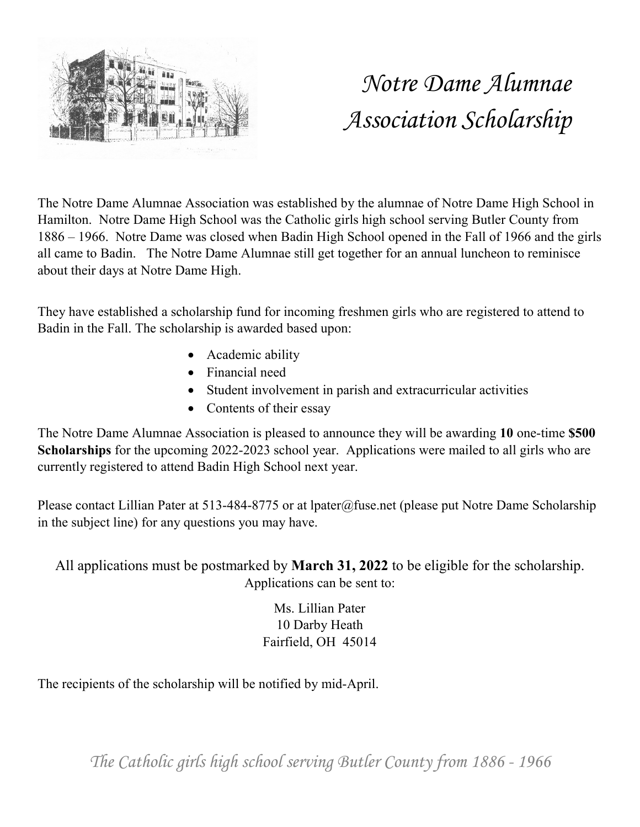

# *Notre Dame Alumnae Association Scholarship*

The Notre Dame Alumnae Association was established by the alumnae of Notre Dame High School in Hamilton. Notre Dame High School was the Catholic girls high school serving Butler County from 1886 – 1966. Notre Dame was closed when Badin High School opened in the Fall of 1966 and the girls all came to Badin. The Notre Dame Alumnae still get together for an annual luncheon to reminisce about their days at Notre Dame High.

They have established a scholarship fund for incoming freshmen girls who are registered to attend to Badin in the Fall. The scholarship is awarded based upon:

- Academic ability
- Financial need
- Student involvement in parish and extracurricular activities
- Contents of their essay

The Notre Dame Alumnae Association is pleased to announce they will be awarding **10** one-time **\$500 Scholarships** for the upcoming 2022-2023 school year. Applications were mailed to all girls who are currently registered to attend Badin High School next year.

Please contact Lillian Pater at 513-484-8775 or at lpater@fuse.net (please put Notre Dame Scholarship in the subject line) for any questions you may have.

All applications must be postmarked by **March 31, 2022** to be eligible for the scholarship. Applications can be sent to:

> Ms. Lillian Pater 10 Darby Heath Fairfield, OH 45014

The recipients of the scholarship will be notified by mid-April.

*The Catholic girls high school serving Butler County from 1886 - 1966*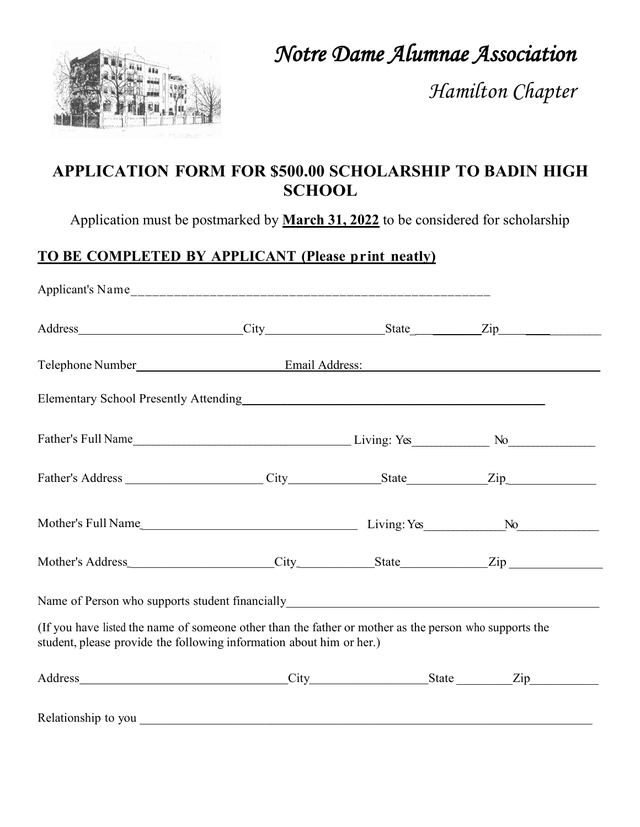

*Notre Dame Alumnae Association* 

*Hamilton Chapter*

## **APPLICATION FORM FOR \$500.00 SCHOLARSHIP TO BADIN HIGH SCHOOL**

Application must be postmarked by **March 31, 2022** to be considered for scholarship

# **TO BE COMPLETED BY APPLICANT (Please print neatly)**

| Address City State State Zip                                                                                                                                                   |  |  |  |  |  |  |  |
|--------------------------------------------------------------------------------------------------------------------------------------------------------------------------------|--|--|--|--|--|--|--|
|                                                                                                                                                                                |  |  |  |  |  |  |  |
| Elementary School Presently Attending<br><u>Elementary School Presently Attending</u>                                                                                          |  |  |  |  |  |  |  |
|                                                                                                                                                                                |  |  |  |  |  |  |  |
|                                                                                                                                                                                |  |  |  |  |  |  |  |
|                                                                                                                                                                                |  |  |  |  |  |  |  |
|                                                                                                                                                                                |  |  |  |  |  |  |  |
|                                                                                                                                                                                |  |  |  |  |  |  |  |
| (If you have listed the name of someone other than the father or mother as the person who supports the<br>student, please provide the following information about him or her.) |  |  |  |  |  |  |  |
| Address Zip                                                                                                                                                                    |  |  |  |  |  |  |  |
|                                                                                                                                                                                |  |  |  |  |  |  |  |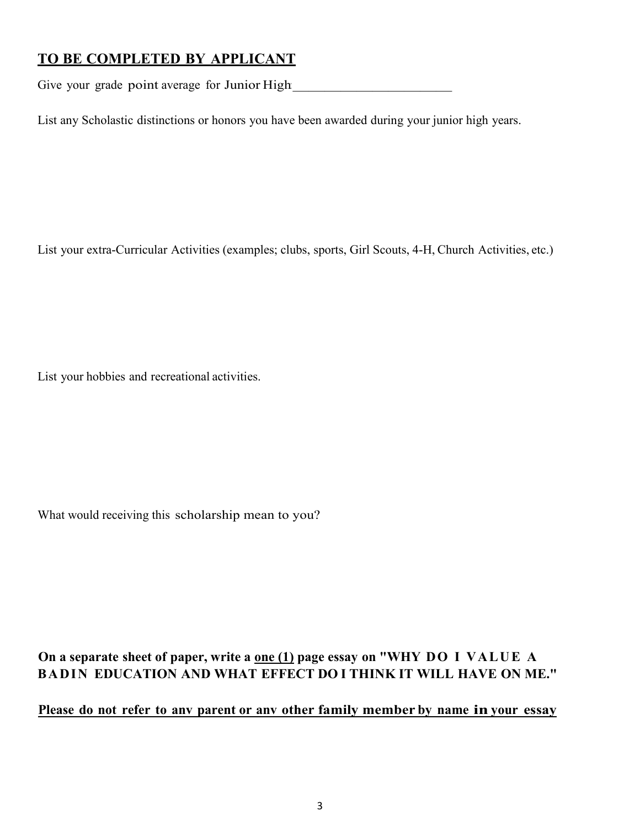## **TO BE COMPLETED BY APPLICANT**

Give your grade point average for Junior High

List any Scholastic distinctions or honors you have been awarded during your junior high years.

List your extra-Curricular Activities (examples; clubs, sports, Girl Scouts, 4-H, Church Activities, etc.)

List your hobbies and recreational activities.

What would receiving this scholarship mean to you?

#### **On a separate sheet of paper, write a one (1) page essay on "WHY DO I VALUE A BADIN EDUCATION AND WHAT EFFECT DO I THINK IT WILL HAVE ON ME."**

#### **Please do not refer to anv parent or anv other family member by name in your essay**